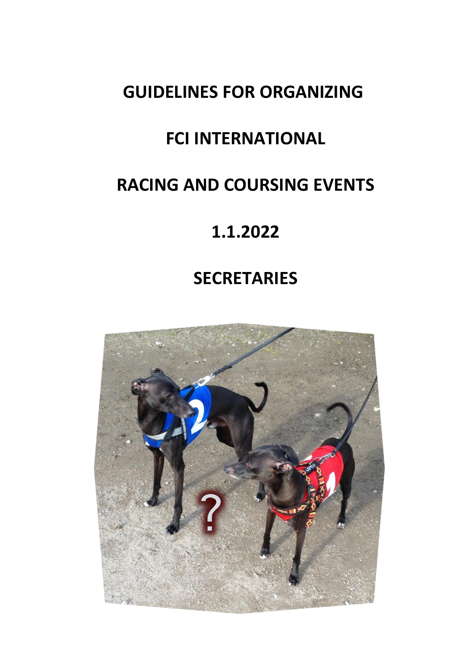# **GUIDELINES FOR ORGANIZING**

# **FCI INTERNATIONAL**

# **RACING AND COURSING EVENTS**

# **1.1.2022**

# **SECRETARIES**

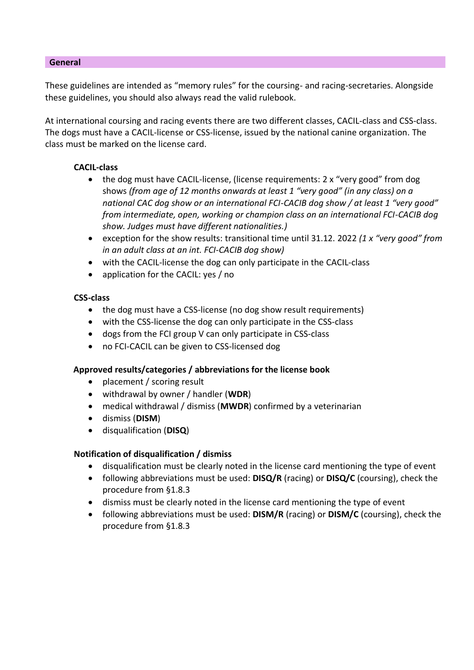#### **General**

These guidelines are intended as "memory rules" for the coursing- and racing-secretaries. Alongside these guidelines, you should also always read the valid rulebook.

At international coursing and racing events there are two different classes, CACIL-class and CSS-class. The dogs must have a CACIL-license or CSS-license, issued by the national canine organization. The class must be marked on the license card.

#### **CACIL-class**

- the dog must have CACIL-license, (license requirements: 2 x "very good" from dog shows *(from age of 12 months onwards at least 1 "very good" (in any class) on a national CAC dog show or an international FCI-CACIB dog show / at least 1 "very good" from intermediate, open, working or champion class on an international FCI-CACIB dog show. Judges must have different nationalities.)*
- exception for the show results: transitional time until 31.12. 2022 *(1 x "very good" from in an adult class at an int. FCI-CACIB dog show)*
- with the CACIL-license the dog can only participate in the CACIL-class
- application for the CACIL: yes / no

## **CSS-class**

- the dog must have a CSS-license (no dog show result requirements)
- with the CSS-license the dog can only participate in the CSS-class
- dogs from the FCI group V can only participate in CSS-class
- no FCI-CACIL can be given to CSS-licensed dog

## **Approved results/categories / abbreviations for the license book**

- placement / scoring result
- withdrawal by owner / handler (**WDR**)
- medical withdrawal / dismiss (**MWDR**) confirmed by a veterinarian
- dismiss (**DISM**)
- disqualification (**DISQ**)

## **Notification of disqualification / dismiss**

- disqualification must be clearly noted in the license card mentioning the type of event
- following abbreviations must be used: **DISQ/R** (racing) or **DISQ/C** (coursing), check the procedure from §1.8.3
- dismiss must be clearly noted in the license card mentioning the type of event
- following abbreviations must be used: **DISM/R** (racing) or **DISM/C** (coursing), check the procedure from §1.8.3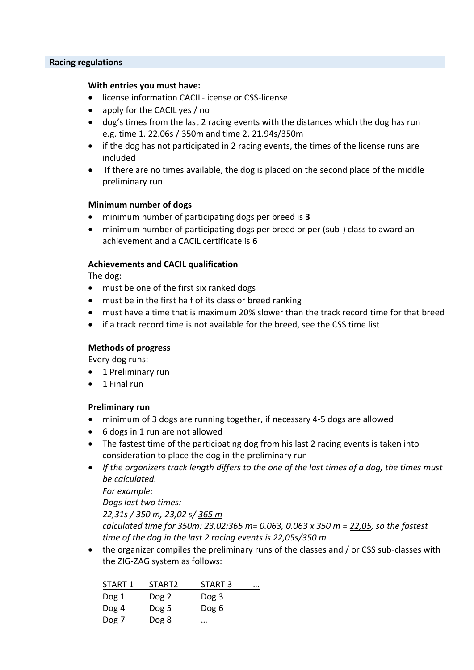#### **Racing regulations**

#### **With entries you must have:**

- license information CACIL-license or CSS-license
- apply for the CACIL yes / no
- dog's times from the last 2 racing events with the distances which the dog has run e.g. time 1. 22.06s / 350m and time 2. 21.94s/350m
- if the dog has not participated in 2 racing events, the times of the license runs are included
- If there are no times available, the dog is placed on the second place of the middle preliminary run

#### **Minimum number of dogs**

- minimum number of participating dogs per breed is **3**
- minimum number of participating dogs per breed or per (sub-) class to award an achievement and a CACIL certificate is **6**

#### **Achievements and CACIL qualification**

The dog:

- must be one of the first six ranked dogs
- must be in the first half of its class or breed ranking
- must have a time that is maximum 20% slower than the track record time for that breed
- if a track record time is not available for the breed, see the CSS time list

#### **Methods of progress**

Every dog runs:

- 1 Preliminary run
- 1 Final run

#### **Preliminary run**

- minimum of 3 dogs are running together, if necessary 4-5 dogs are allowed
- 6 dogs in 1 run are not allowed
- The fastest time of the participating dog from his last 2 racing events is taken into consideration to place the dog in the preliminary run
- *If the organizers track length differs to the one of the last times of a dog, the times must be calculated.*

*For example:*

*Dogs last two times:*

*22,31s / 350 m, 23,02 s/ 365 m*

*calculated time for 350m: 23,02:365 m= 0.063, 0.063 x 350 m = 22,05, so the fastest time of the dog in the last 2 racing events is 22,05s/350 m*

• the organizer compiles the preliminary runs of the classes and / or CSS sub-classes with the ZIG-ZAG system as follows:

| START 1 | START <sub>2</sub> | START <sub>3</sub> | $\cdots$ |
|---------|--------------------|--------------------|----------|
| Dog 1   | Dog 2              | Dog 3              |          |
| Dog 4   | Dog 5              | Dog 6              |          |
| Dog 7   | Dog 8              |                    |          |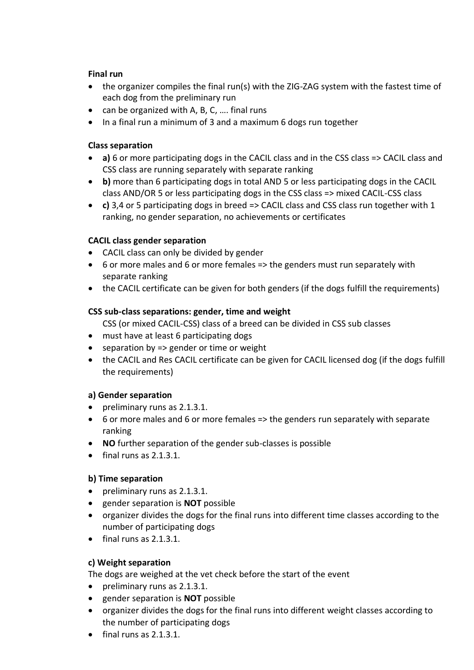## **Final run**

- the organizer compiles the final run(s) with the ZIG-ZAG system with the fastest time of each dog from the preliminary run
- can be organized with A, B, C, …. final runs
- In a final run a minimum of 3 and a maximum 6 dogs run together

#### **Class separation**

- **a)** 6 or more participating dogs in the CACIL class and in the CSS class => CACIL class and CSS class are running separately with separate ranking
- **b)** more than 6 participating dogs in total AND 5 or less participating dogs in the CACIL class AND/OR 5 or less participating dogs in the CSS class => mixed CACIL-CSS class
- **c)** 3,4 or 5 participating dogs in breed => CACIL class and CSS class run together with 1 ranking, no gender separation, no achievements or certificates

#### **CACIL class gender separation**

- CACIL class can only be divided by gender
- 6 or more males and 6 or more females => the genders must run separately with separate ranking
- the CACIL certificate can be given for both genders (if the dogs fulfill the requirements)

#### **CSS sub-class separations: gender, time and weight**

CSS (or mixed CACIL-CSS) class of a breed can be divided in CSS sub classes

- must have at least 6 participating dogs
- separation by => gender or time or weight
- the CACIL and Res CACIL certificate can be given for CACIL licensed dog (if the dogs fulfill the requirements)

#### **a) Gender separation**

- preliminary runs as 2.1.3.1.
- 6 or more males and 6 or more females => the genders run separately with separate ranking
- **NO** further separation of the gender sub-classes is possible
- $\bullet$  final runs as 2.1.3.1.

#### **b) Time separation**

- preliminary runs as 2.1.3.1.
- gender separation is **NOT** possible
- organizer divides the dogs for the final runs into different time classes according to the number of participating dogs
- final runs as 2.1.3.1.

## **c) Weight separation**

The dogs are weighed at the vet check before the start of the event

- preliminary runs as 2.1.3.1.
- gender separation is **NOT** possible
- organizer divides the dogs for the final runs into different weight classes according to the number of participating dogs
- $\bullet$  final runs as 2.1.3.1.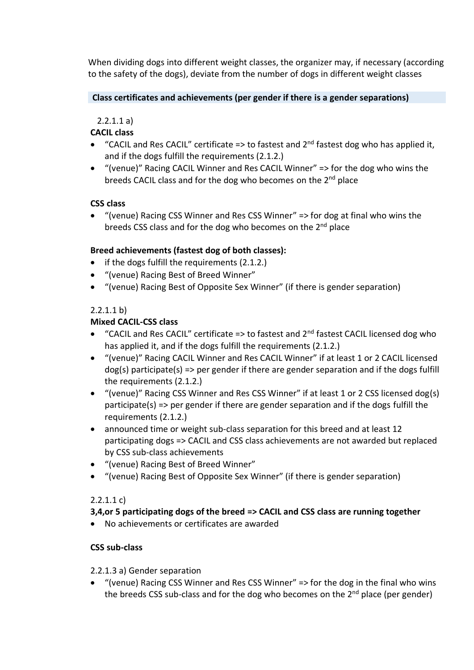When dividing dogs into different weight classes, the organizer may, if necessary (according to the safety of the dogs), deviate from the number of dogs in different weight classes

## **Class certificates and achievements (per gender if there is a gender separations)**

## 2.2.1.1 a)

## **CACIL class**

- "CACIL and Res CACIL" certificate  $\Rightarrow$  to fastest and  $2^{nd}$  fastest dog who has applied it, and if the dogs fulfill the requirements (2.1.2.)
- "(venue)" Racing CACIL Winner and Res CACIL Winner" => for the dog who wins the breeds CACIL class and for the dog who becomes on the 2<sup>nd</sup> place

## **CSS class**

• "(venue) Racing CSS Winner and Res CSS Winner" => for dog at final who wins the breeds CSS class and for the dog who becomes on the 2<sup>nd</sup> place

#### **Breed achievements (fastest dog of both classes):**

- if the dogs fulfill the requirements (2.1.2.)
- "(venue) Racing Best of Breed Winner"
- "(venue) Racing Best of Opposite Sex Winner" (if there is gender separation)

## 2.2.1.1 b)

## **Mixed CACIL-CSS class**

- "CACIL and Res CACIL" certificate  $\Rightarrow$  to fastest and  $2^{nd}$  fastest CACIL licensed dog who has applied it, and if the dogs fulfill the requirements (2.1.2.)
- "(venue)" Racing CACIL Winner and Res CACIL Winner" if at least 1 or 2 CACIL licensed dog(s) participate(s) => per gender if there are gender separation and if the dogs fulfill the requirements (2.1.2.)
- "(venue)" Racing CSS Winner and Res CSS Winner" if at least 1 or 2 CSS licensed dog(s) participate(s) => per gender if there are gender separation and if the dogs fulfill the requirements (2.1.2.)
- announced time or weight sub-class separation for this breed and at least 12 participating dogs => CACIL and CSS class achievements are not awarded but replaced by CSS sub-class achievements
- "(venue) Racing Best of Breed Winner"
- "(venue) Racing Best of Opposite Sex Winner" (if there is gender separation)

## 2.2.1.1 c)

## **3,4,or 5 participating dogs of the breed => CACIL and CSS class are running together**

• No achievements or certificates are awarded

## **CSS sub-class**

#### 2.2.1.3 a) Gender separation

• "(venue) Racing CSS Winner and Res CSS Winner" => for the dog in the final who wins the breeds CSS sub-class and for the dog who becomes on the  $2<sup>nd</sup>$  place (per gender)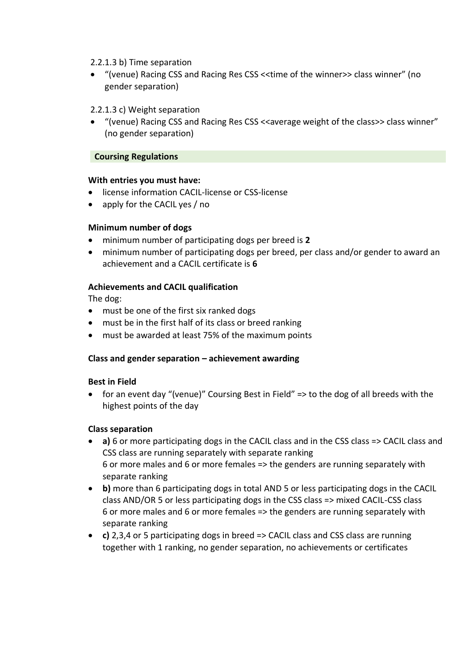#### 2.2.1.3 b) Time separation

• "(venue) Racing CSS and Racing Res CSS <<time of the winner>> class winner" (no gender separation)

## 2.2.1.3 c) Weight separation

• "(venue) Racing CSS and Racing Res CSS <<average weight of the class>> class winner" (no gender separation)

## **Coursing Regulations**

#### **With entries you must have:**

- license information CACIL-license or CSS-license
- apply for the CACIL yes / no

## **Minimum number of dogs**

- minimum number of participating dogs per breed is **2**
- minimum number of participating dogs per breed, per class and/or gender to award an achievement and a CACIL certificate is **6**

## **Achievements and CACIL qualification**

The dog:

- must be one of the first six ranked dogs
- must be in the first half of its class or breed ranking
- must be awarded at least 75% of the maximum points

## **Class and gender separation – achievement awarding**

#### **Best in Field**

• for an event day "(venue)" Coursing Best in Field" => to the dog of all breeds with the highest points of the day

## **Class separation**

- **a)** 6 or more participating dogs in the CACIL class and in the CSS class => CACIL class and CSS class are running separately with separate ranking 6 or more males and 6 or more females => the genders are running separately with separate ranking
- **b)** more than 6 participating dogs in total AND 5 or less participating dogs in the CACIL class AND/OR 5 or less participating dogs in the CSS class => mixed CACIL-CSS class 6 or more males and 6 or more females => the genders are running separately with separate ranking
- **c)** 2,3,4 or 5 participating dogs in breed => CACIL class and CSS class are running together with 1 ranking, no gender separation, no achievements or certificates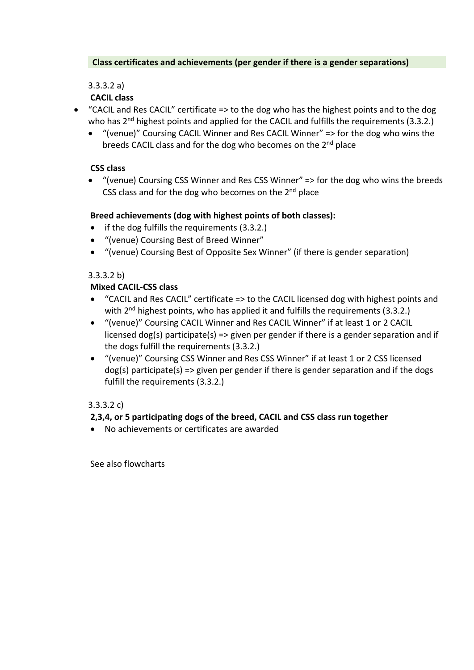## **Class certificates and achievements (per gender if there is a gender separations)**

3.3.3.2 a)

# **CACIL class**

- "CACIL and Res CACIL" certificate => to the dog who has the highest points and to the dog who has 2<sup>nd</sup> highest points and applied for the CACIL and fulfills the requirements (3.3.2.)
	- "(venue)" Coursing CACIL Winner and Res CACIL Winner" => for the dog who wins the breeds CACIL class and for the dog who becomes on the 2<sup>nd</sup> place

# **CSS class**

• "(venue) Coursing CSS Winner and Res CSS Winner" => for the dog who wins the breeds CSS class and for the dog who becomes on the  $2<sup>nd</sup>$  place

# **Breed achievements (dog with highest points of both classes):**

- if the dog fulfills the requirements (3.3.2.)
- "(venue) Coursing Best of Breed Winner"
- "(venue) Coursing Best of Opposite Sex Winner" (if there is gender separation)

## 3.3.3.2 b)

# **Mixed CACIL-CSS class**

- "CACIL and Res CACIL" certificate => to the CACIL licensed dog with highest points and with 2<sup>nd</sup> highest points, who has applied it and fulfills the requirements (3.3.2.)
- "(venue)" Coursing CACIL Winner and Res CACIL Winner" if at least 1 or 2 CACIL licensed dog(s) participate(s) => given per gender if there is a gender separation and if the dogs fulfill the requirements (3.3.2.)
- "(venue)" Coursing CSS Winner and Res CSS Winner" if at least 1 or 2 CSS licensed  $\deg(s)$  participate(s) => given per gender if there is gender separation and if the dogs fulfill the requirements (3.3.2.)

# 3.3.3.2 c)

# **2,3,4, or 5 participating dogs of the breed, CACIL and CSS class run together**

• No achievements or certificates are awarded

See also flowcharts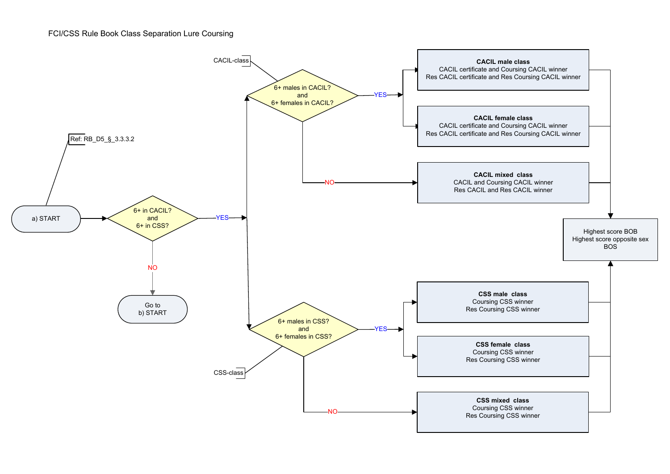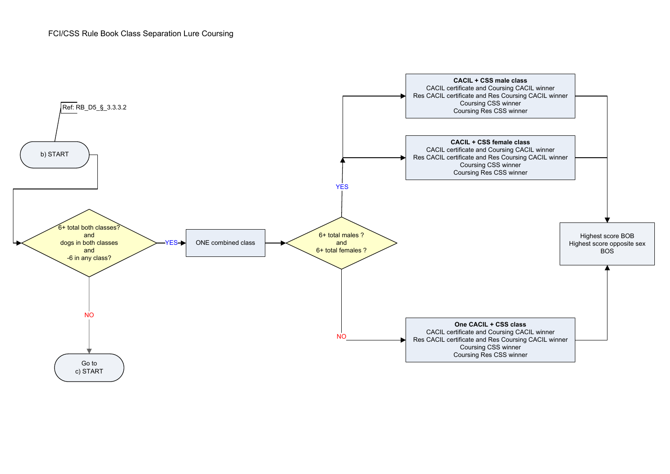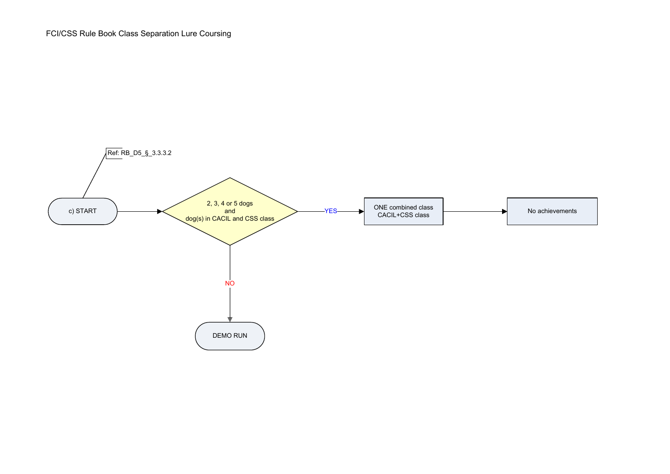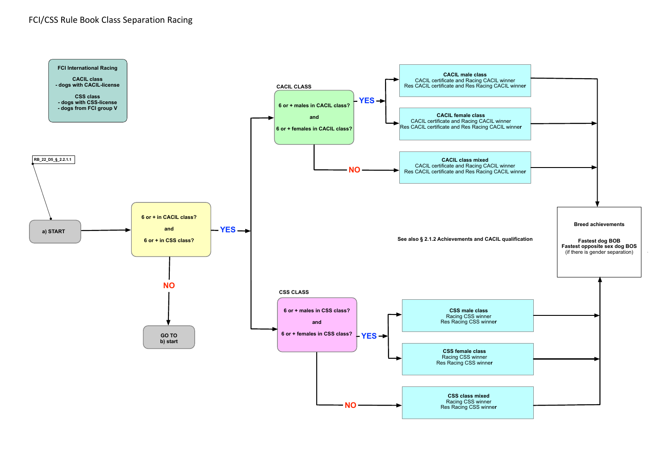#### FCI/CSS Rule Book Class Separation Racing

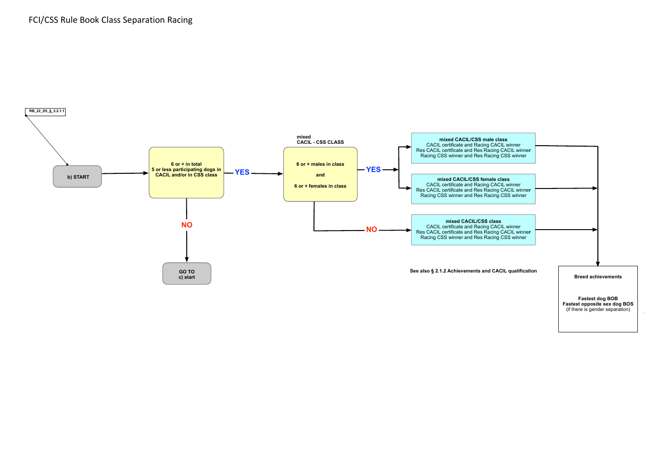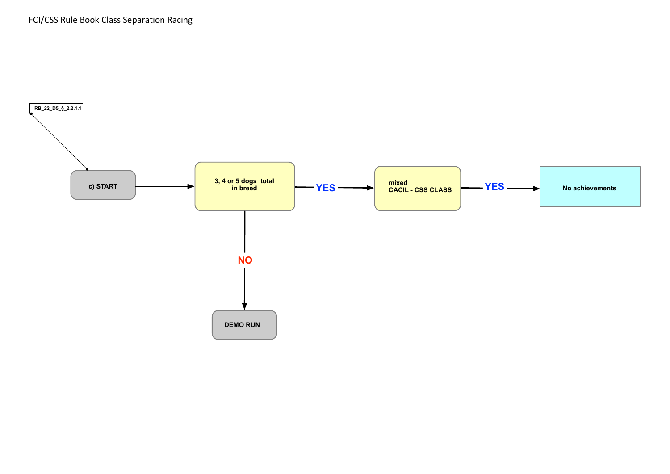